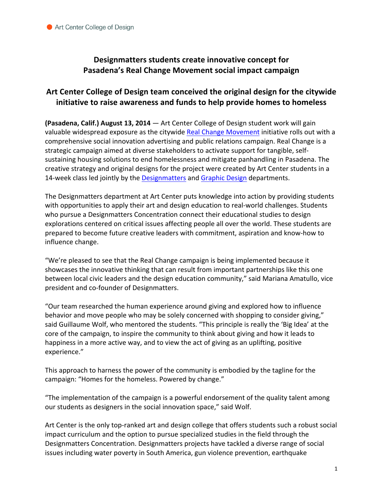## **Designmatters students create innovative concept for** Pasadena's Real Change Movement social impact campaign

## Art Center College of Design team conceived the original design for the citywide **initiative to raise awareness and funds to help provide homes to homeless**

**(Pasadena, Calif.) August 13, 2014** — Art Center College of Design student work will gain valuable widespread exposure as the citywide Real Change Movement initiative rolls out with a comprehensive social innovation advertising and public relations campaign. Real Change is a strategic campaign aimed at diverse stakeholders to activate support for tangible, selfsustaining housing solutions to end homelessness and mitigate panhandling in Pasadena. The creative strategy and original designs for the project were created by Art Center students in a 14-week class led jointly by the Designmatters and Graphic Design departments.

The Designmatters department at Art Center puts knowledge into action by providing students with opportunities to apply their art and design education to real-world challenges. Students who pursue a Designmatters Concentration connect their educational studies to design explorations centered on critical issues affecting people all over the world. These students are prepared to become future creative leaders with commitment, aspiration and know-how to influence change. 

"We're pleased to see that the Real Change campaign is being implemented because it showcases the innovative thinking that can result from important partnerships like this one between local civic leaders and the design education community," said Mariana Amatullo, vice president and co-founder of Designmatters.

"Our team researched the human experience around giving and explored how to influence behavior and move people who may be solely concerned with shopping to consider giving," said Guillaume Wolf, who mentored the students. "This principle is really the 'Big Idea' at the core of the campaign, to inspire the community to think about giving and how it leads to happiness in a more active way, and to view the act of giving as an uplifting, positive experience." 

This approach to harness the power of the community is embodied by the tagline for the campaign: "Homes for the homeless. Powered by change."

"The implementation of the campaign is a powerful endorsement of the quality talent among our students as designers in the social innovation space," said Wolf.

Art Center is the only top-ranked art and design college that offers students such a robust social impact curriculum and the option to pursue specialized studies in the field through the Designmatters Concentration. Designmatters projects have tackled a diverse range of social issues including water poverty in South America, gun violence prevention, earthquake